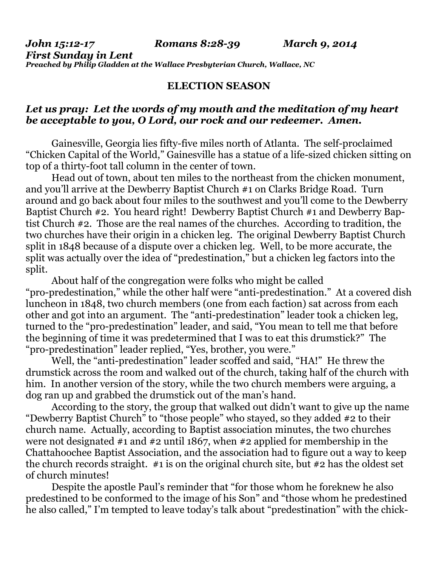*First Sunday in Lent Preached by Philip Gladden at the Wallace Presbyterian Church, Wallace, NC* 

## **ELECTION SEASON**

## *Let us pray: Let the words of my mouth and the meditation of my heart be acceptable to you, O Lord, our rock and our redeemer. Amen.*

 Gainesville, Georgia lies fifty-five miles north of Atlanta. The self-proclaimed "Chicken Capital of the World," Gainesville has a statue of a life-sized chicken sitting on top of a thirty-foot tall column in the center of town.

 Head out of town, about ten miles to the northeast from the chicken monument, and you'll arrive at the Dewberry Baptist Church #1 on Clarks Bridge Road. Turn around and go back about four miles to the southwest and you'll come to the Dewberry Baptist Church #2. You heard right! Dewberry Baptist Church #1 and Dewberry Baptist Church #2. Those are the real names of the churches. According to tradition, the two churches have their origin in a chicken leg. The original Dewberry Baptist Church split in 1848 because of a dispute over a chicken leg. Well, to be more accurate, the split was actually over the idea of "predestination," but a chicken leg factors into the split.

 About half of the congregation were folks who might be called "pro-predestination," while the other half were "anti-predestination." At a covered dish luncheon in 1848, two church members (one from each faction) sat across from each other and got into an argument. The "anti-predestination" leader took a chicken leg, turned to the "pro-predestination" leader, and said, "You mean to tell me that before the beginning of time it was predetermined that I was to eat this drumstick?" The "pro-predestination" leader replied, "Yes, brother, you were."

 Well, the "anti-predestination" leader scoffed and said, "HA!" He threw the drumstick across the room and walked out of the church, taking half of the church with him. In another version of the story, while the two church members were arguing, a dog ran up and grabbed the drumstick out of the man's hand.

 According to the story, the group that walked out didn't want to give up the name "Dewberry Baptist Church" to "those people" who stayed, so they added #2 to their church name. Actually, according to Baptist association minutes, the two churches were not designated #1 and #2 until 1867, when #2 applied for membership in the Chattahoochee Baptist Association, and the association had to figure out a way to keep the church records straight. #1 is on the original church site, but #2 has the oldest set of church minutes!

 Despite the apostle Paul's reminder that "for those whom he foreknew he also predestined to be conformed to the image of his Son" and "those whom he predestined he also called," I'm tempted to leave today's talk about "predestination" with the chick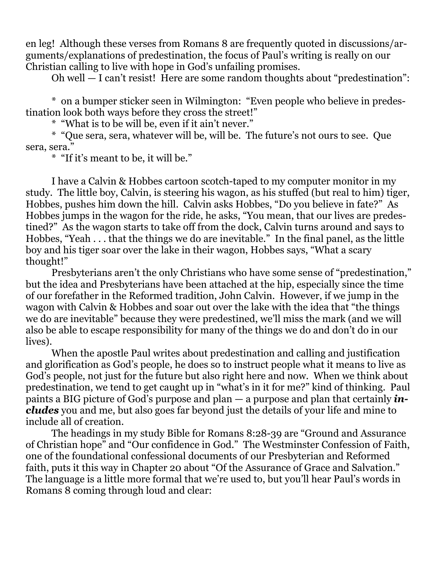en leg! Although these verses from Romans 8 are frequently quoted in discussions/arguments/explanations of predestination, the focus of Paul's writing is really on our Christian calling to live with hope in God's unfailing promises.

Oh well — I can't resist! Here are some random thoughts about "predestination":

 \* on a bumper sticker seen in Wilmington: "Even people who believe in predestination look both ways before they cross the street!"

\* "What is to be will be, even if it ain't never."

 \* "Que sera, sera, whatever will be, will be. The future's not ours to see. Que sera, sera."

\* "If it's meant to be, it will be."

 I have a Calvin & Hobbes cartoon scotch-taped to my computer monitor in my study. The little boy, Calvin, is steering his wagon, as his stuffed (but real to him) tiger, Hobbes, pushes him down the hill. Calvin asks Hobbes, "Do you believe in fate?" As Hobbes jumps in the wagon for the ride, he asks, "You mean, that our lives are predestined?" As the wagon starts to take off from the dock, Calvin turns around and says to Hobbes, "Yeah . . . that the things we do are inevitable." In the final panel, as the little boy and his tiger soar over the lake in their wagon, Hobbes says, "What a scary thought!"

 Presbyterians aren't the only Christians who have some sense of "predestination," but the idea and Presbyterians have been attached at the hip, especially since the time of our forefather in the Reformed tradition, John Calvin. However, if we jump in the wagon with Calvin & Hobbes and soar out over the lake with the idea that "the things we do are inevitable" because they were predestined, we'll miss the mark (and we will also be able to escape responsibility for many of the things we do and don't do in our lives).

 When the apostle Paul writes about predestination and calling and justification and glorification as God's people, he does so to instruct people what it means to live as God's people, not just for the future but also right here and now. When we think about predestination, we tend to get caught up in "what's in it for me?" kind of thinking. Paul paints a BIG picture of God's purpose and plan — a purpose and plan that certainly *includes* you and me, but also goes far beyond just the details of your life and mine to include all of creation.

 The headings in my study Bible for Romans 8:28-39 are "Ground and Assurance of Christian hope" and "Our confidence in God." The Westminster Confession of Faith, one of the foundational confessional documents of our Presbyterian and Reformed faith, puts it this way in Chapter 20 about "Of the Assurance of Grace and Salvation." The language is a little more formal that we're used to, but you'll hear Paul's words in Romans 8 coming through loud and clear: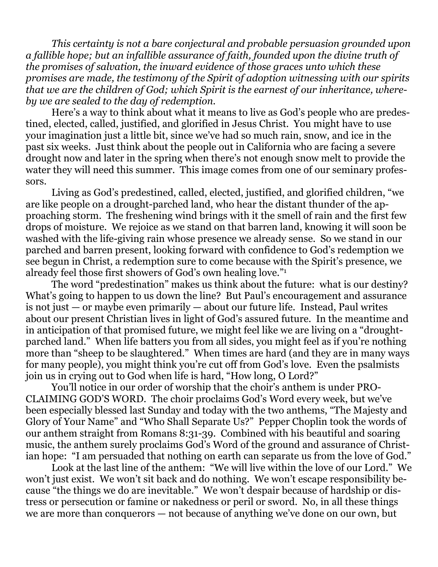*This certainty is not a bare conjectural and probable persuasion grounded upon a fallible hope; but an infallible assurance of faith, founded upon the divine truth of the promises of salvation, the inward evidence of those graces unto which these promises are made, the testimony of the Spirit of adoption witnessing with our spirits that we are the children of God; which Spirit is the earnest of our inheritance, whereby we are sealed to the day of redemption.* 

Here's a way to think about what it means to live as God's people who are predestined, elected, called, justified, and glorified in Jesus Christ. You might have to use your imagination just a little bit, since we've had so much rain, snow, and ice in the past six weeks. Just think about the people out in California who are facing a severe drought now and later in the spring when there's not enough snow melt to provide the water they will need this summer. This image comes from one of our seminary professors.

 Living as God's predestined, called, elected, justified, and glorified children, "we are like people on a drought-parched land, who hear the distant thunder of the approaching storm. The freshening wind brings with it the smell of rain and the first few drops of moisture. We rejoice as we stand on that barren land, knowing it will soon be washed with the life-giving rain whose presence we already sense. So we stand in our parched and barren present, looking forward with confidence to God's redemption we see begun in Christ, a redemption sure to come because with the Spirit's presence, we already feel those first showers of God's own healing love."1

The word "predestination" makes us think about the future: what is our destiny? What's going to happen to us down the line? But Paul's encouragement and assurance is not just  $-$  or maybe even primarily  $-$  about our future life. Instead, Paul writes about our present Christian lives in light of God's assured future. In the meantime and in anticipation of that promised future, we might feel like we are living on a "droughtparched land." When life batters you from all sides, you might feel as if you're nothing more than "sheep to be slaughtered." When times are hard (and they are in many ways for many people), you might think you're cut off from God's love. Even the psalmists join us in crying out to God when life is hard, "How long, O Lord?"

 You'll notice in our order of worship that the choir's anthem is under PRO-CLAIMING GOD'S WORD. The choir proclaims God's Word every week, but we've been especially blessed last Sunday and today with the two anthems, "The Majesty and Glory of Your Name" and "Who Shall Separate Us?" Pepper Choplin took the words of our anthem straight from Romans 8:31-39. Combined with his beautiful and soaring music, the anthem surely proclaims God's Word of the ground and assurance of Christian hope: "I am persuaded that nothing on earth can separate us from the love of God."

 Look at the last line of the anthem: "We will live within the love of our Lord." We won't just exist. We won't sit back and do nothing. We won't escape responsibility because "the things we do are inevitable." We won't despair because of hardship or distress or persecution or famine or nakedness or peril or sword. No, in all these things we are more than conquerors — not because of anything we've done on our own, but